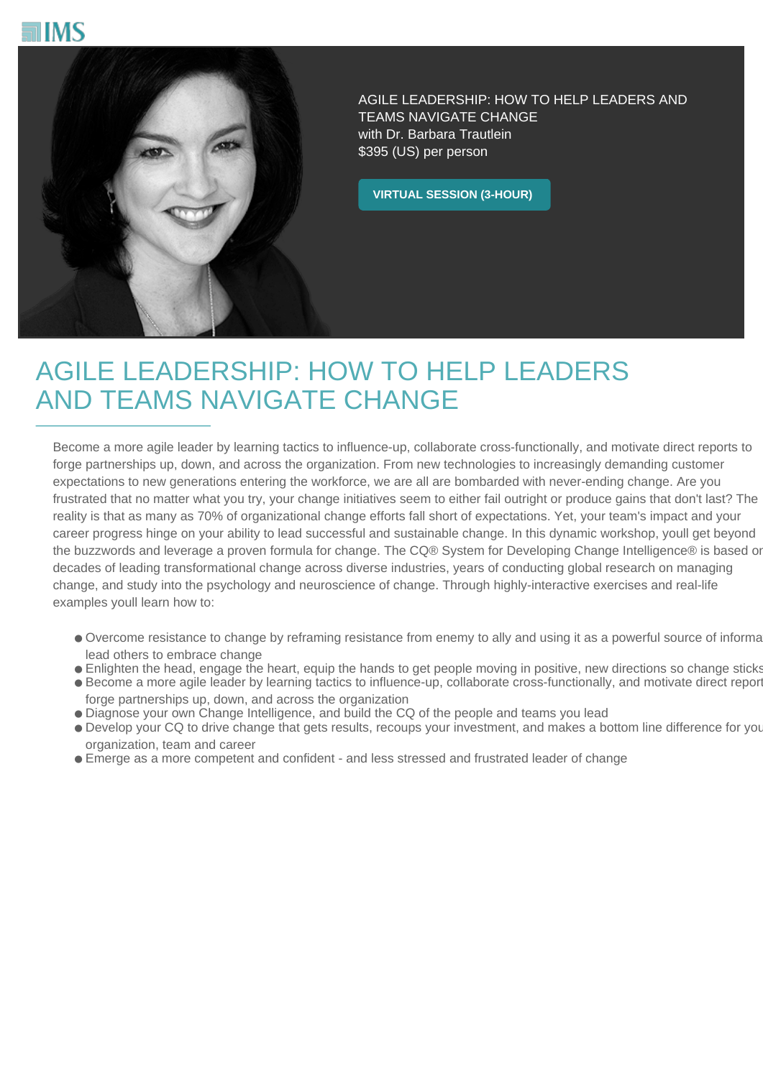



AGILE LEADERSHIP: HOW TO HELP LEADERS AND TEAMS NAVIGATE CHANGE with Dr. Barbara Trautlein \$395 (US) per person

**VIRTUAL SESSION (3-HOUR)**

## AGILE LEADERSHIP: HOW TO HELP LEADERS AND TEAMS NAVIGATE CHANGE

Become a more agile leader by learning tactics to influence-up, collaborate cross-functionally, and motivate direct reports to forge partnerships up, down, and across the organization. From new technologies to increasingly demanding customer expectations to new generations entering the workforce, we are all are bombarded with never-ending change. Are you frustrated that no matter what you try, your change initiatives seem to either fail outright or produce gains that don't last? The reality is that as many as 70% of organizational change efforts fall short of expectations. Yet, your team's impact and your career progress hinge on your ability to lead successful and sustainable change. In this dynamic workshop, youll get beyond the buzzwords and leverage a proven formula for change. The CQ® System for Developing Change Intelligence® is based or decades of leading transformational change across diverse industries, years of conducting global research on managing change, and study into the psychology and neuroscience of change. Through highly-interactive exercises and real-life examples youll learn how to:

- Overcome resistance to change by reframing resistance from enemy to ally and using it as a powerful source of informa lead others to embrace change
- Enlighten the head, engage the heart, equip the hands to get people moving in positive, new directions so change sticks
- Become a more agile leader by learning tactics to influence-up, collaborate cross-functionally, and motivate direct report forge partnerships up, down, and across the organization
- Diagnose your own Change Intelligence, and build the CQ of the people and teams you lead
- Develop your CQ to drive change that gets results, recoups your investment, and makes a bottom line difference for your organization, team and career
- Emerge as a more competent and confident and less stressed and frustrated leader of change